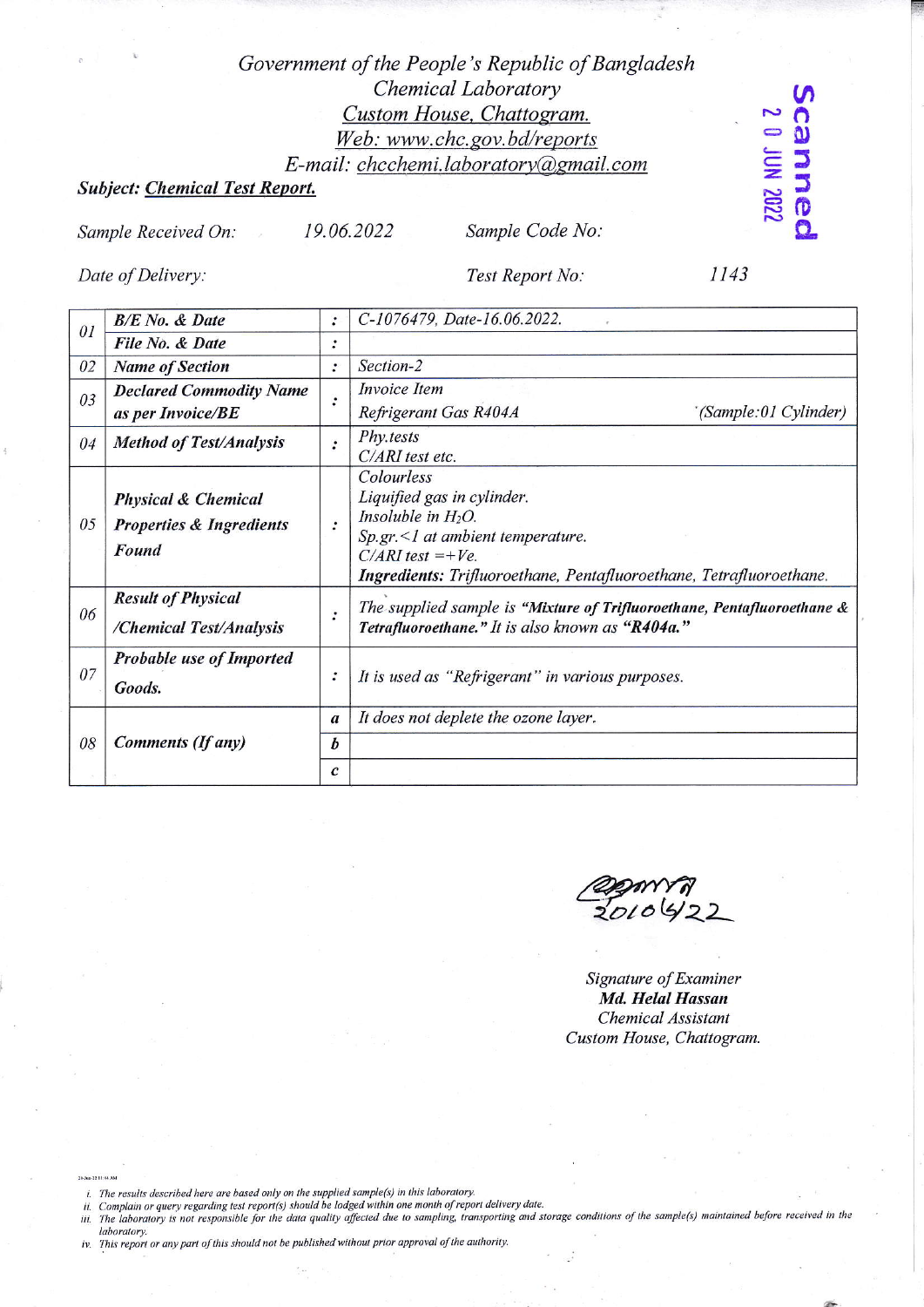| Government of the People's Republic of Bangladesh |  |
|---------------------------------------------------|--|
| Chemical Laboratory                               |  |
| Custom House, Chattogram.                         |  |
| Web: www.chc.gov.bd/reports                       |  |
| E-mail: chcchemi.laboratory@gmail.com             |  |

## Subject: Chemical Test Report.

Sample Received On:

19.06.2022 Sample Code No:

Date of Delivery:

Test Report No:

1143

 $\frac{2}{2}$ canned

| 0 <sub>I</sub> | <b>B/E</b> No. & Date                                                          | $\rlap{.}^{\bullet}$   | C-1076479, Date-16.06.2022.                                                                                                                                                                            |
|----------------|--------------------------------------------------------------------------------|------------------------|--------------------------------------------------------------------------------------------------------------------------------------------------------------------------------------------------------|
|                | File No. & Date                                                                | :                      |                                                                                                                                                                                                        |
| 02             | <b>Name of Section</b>                                                         | : $\ddot{\phantom{a}}$ | Section-2                                                                                                                                                                                              |
| 03             | <b>Declared Commodity Name</b><br>as per Invoice/BE                            | $\ddot{\cdot}$         | <b>Invoice</b> Item<br>Refrigerant Gas R404A<br>(Sample:01 Cylinder)                                                                                                                                   |
| 04             | <b>Method of Test/Analysis</b>                                                 | $\cdot$                | Phy.tests<br>C/ARI test etc.                                                                                                                                                                           |
| 05             | <b>Physical &amp; Chemical</b><br><b>Properties &amp; Ingredients</b><br>Found | $\ddot{\cdot}$         | Colourless<br>Liquified gas in cylinder.<br>Insoluble in $H_2O$ .<br>$Sp.gr. < 1$ at ambient temperature.<br>$C/ARI$ test =+Ve.<br>Ingredients: Trifluoroethane, Pentafluoroethane, Tetrafluoroethane. |
| 06             | <b>Result of Physical</b><br>/Chemical Test/Analysis                           | ÷                      | The supplied sample is "Mixture of Trifluoroethane, Pentafluoroethane &<br>Tetrafluoroethane." It is also known as "R404a."                                                                            |
| 07             | Probable use of Imported<br>Goods.                                             | $\cdot$                | It is used as "Refrigerant" in various purposes.                                                                                                                                                       |
| 08             | Comments (If any)                                                              | $\boldsymbol{a}$       | It does not deplete the ozone layer.                                                                                                                                                                   |
|                |                                                                                | $\bm{b}$               |                                                                                                                                                                                                        |
|                |                                                                                | $\mathcal{C}$          |                                                                                                                                                                                                        |

 $\frac{2}{2010622}$ 

Signature of Examiner Md. Helal Hassan **Chemical Assistant** Custom House, Chattogram.

i. The results described here are based only on the supplied sample(s) in this laboratory.<br>
ii. Complain or query regarding test report(s) should be lodged within one month of report delivery date.<br>
iii. The laboratory is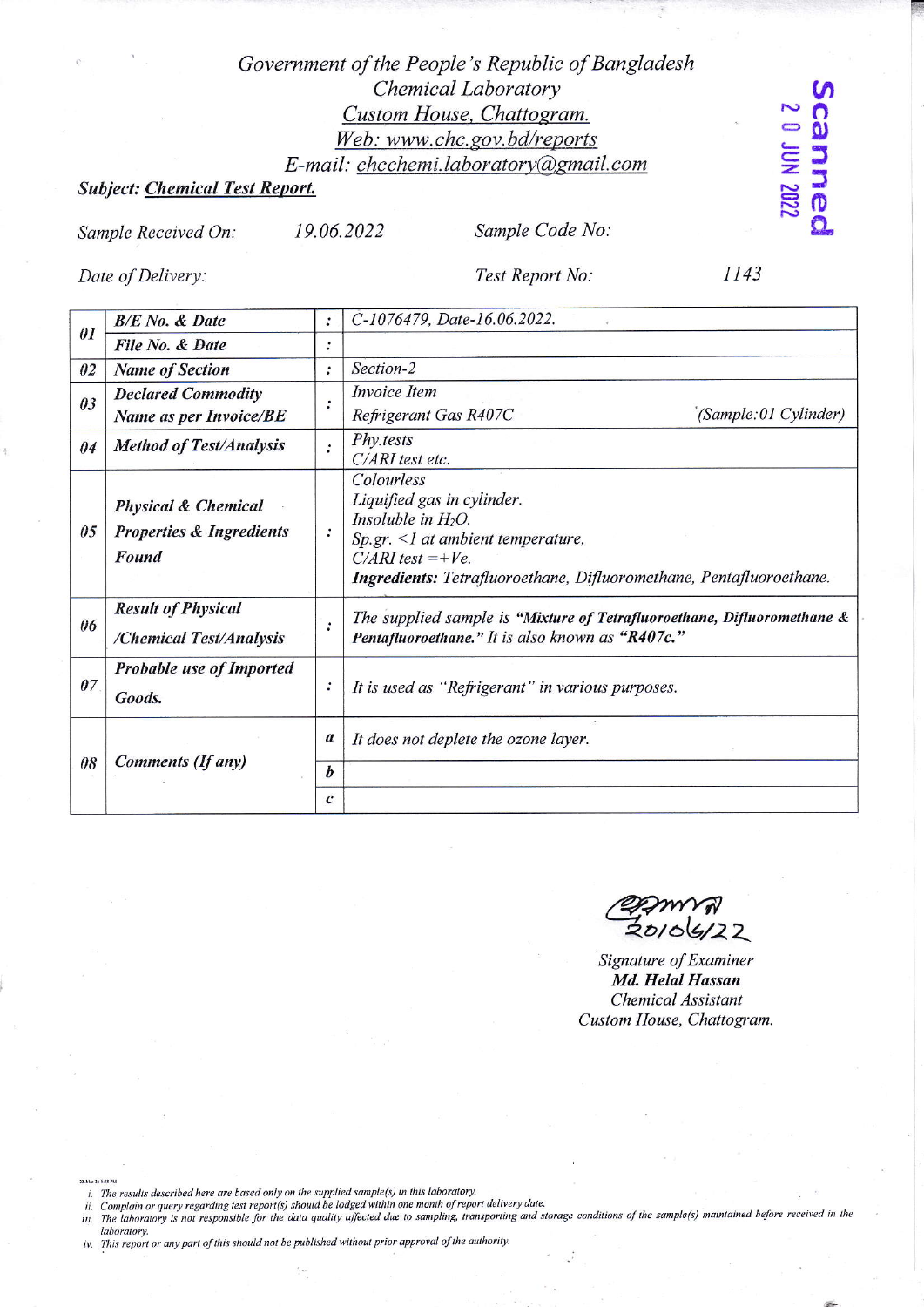| Government of the People's Republic of Bangladesh<br>Chemical Laboratory<br>Custom House, Chattogram.<br><b>C JUN 2022</b><br>Web: www.chc.gov.bd/reports<br>E-mail: chcchemi.laboratory@gmail.com<br><b>Subject: Chemical Test Report.</b> |                                                                                |                  |                                                                                                                                                                                                        |                      |  |  |
|---------------------------------------------------------------------------------------------------------------------------------------------------------------------------------------------------------------------------------------------|--------------------------------------------------------------------------------|------------------|--------------------------------------------------------------------------------------------------------------------------------------------------------------------------------------------------------|----------------------|--|--|
| 19.06.2022<br>Sample Code No:<br>Sample Received On:                                                                                                                                                                                        |                                                                                |                  |                                                                                                                                                                                                        |                      |  |  |
| Date of Delivery:                                                                                                                                                                                                                           |                                                                                |                  | Test Report No:                                                                                                                                                                                        | 1143                 |  |  |
|                                                                                                                                                                                                                                             | <b>B/E</b> No. & Date                                                          | :                | C-1076479, Date-16.06.2022.                                                                                                                                                                            |                      |  |  |
| 0I                                                                                                                                                                                                                                          | File No. & Date                                                                | :                |                                                                                                                                                                                                        |                      |  |  |
| 02                                                                                                                                                                                                                                          | <b>Name of Section</b>                                                         | $\ddot{\cdot}$   | Section-2                                                                                                                                                                                              |                      |  |  |
| 0 <sub>3</sub>                                                                                                                                                                                                                              | <b>Declared Commodity</b><br>Name as per Invoice/BE                            | $\ddot{\cdot}$   | <b>Invoice</b> Item<br>Refrigerant Gas R407C                                                                                                                                                           | (Sample:01 Cylinder) |  |  |
| 04                                                                                                                                                                                                                                          | Method of Test/Analysis                                                        | :                | Phy.tests<br>C/ARI test etc.                                                                                                                                                                           |                      |  |  |
| 05                                                                                                                                                                                                                                          | <b>Physical &amp; Chemical</b><br><b>Properties &amp; Ingredients</b><br>Found | $\ddot{\cdot}$   | Colourless<br>Liquified gas in cylinder.<br>Insoluble in $H_2O$ .<br>$Sp.gr. < 1$ at ambient temperature,<br>$C/ARI$ test =+Ve.<br>Ingredients: Tetrafluoroethane, Difluoromethane, Pentafluoroethane. |                      |  |  |
| 06                                                                                                                                                                                                                                          | <b>Result of Physical</b><br>/Chemical Test/Analysis                           | $\ddot{\cdot}$   | The supplied sample is "Mixture of Tetrafluoroethane, Difluoromethane &<br>Pentafluoroethane." It is also known as "R407c."                                                                            |                      |  |  |
| 07                                                                                                                                                                                                                                          | Probable use of Imported<br>Goods.                                             | $\ddot{\cdot}$   | It is used as "Refrigerant" in various purposes.                                                                                                                                                       |                      |  |  |
| 08                                                                                                                                                                                                                                          | <b>Comments</b> (If any)                                                       | $\boldsymbol{a}$ | It does not deplete the ozone layer.                                                                                                                                                                   |                      |  |  |
|                                                                                                                                                                                                                                             |                                                                                | $\boldsymbol{b}$ |                                                                                                                                                                                                        |                      |  |  |
|                                                                                                                                                                                                                                             |                                                                                | $\mathcal{C}$    |                                                                                                                                                                                                        |                      |  |  |

 $227006/22$ 

Signature of Examiner Md. Helal Hassan Chemical Assistant Custom House, Chattogram.

- 
- I. The results described here are based only on the supplied sample(s) in this laboratory.<br>
ii. Complain or query regarding test report(s) should be lodged within one month of report delivery date.<br>
iii. The laboratory is
- 

22-Mar-22 5:38 PM